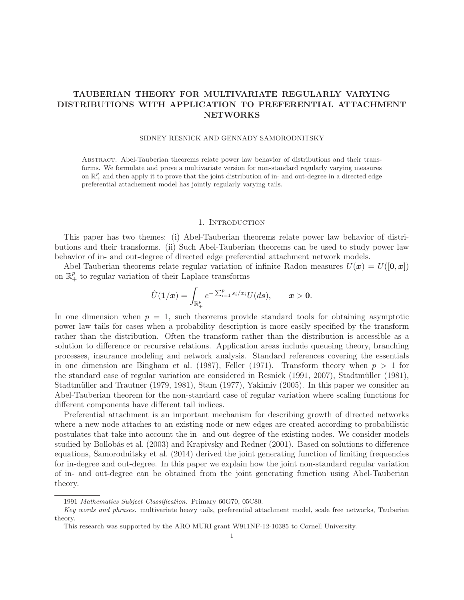## TAUBERIAN THEORY FOR MULTIVARIATE REGULARLY VARYING DISTRIBUTIONS WITH APPLICATION TO PREFERENTIAL ATTACHMENT NETWORKS

#### SIDNEY RESNICK AND GENNADY SAMORODNITSKY

Abstract. Abel-Tauberian theorems relate power law behavior of distributions and their transforms. We formulate and prove a multivariate version for non-standard regularly varying measures on  $\mathbb{R}^p_+$  and then apply it to prove that the joint distribution of in- and out-degree in a directed edge preferential attachement model has jointly regularly varying tails.

#### 1. INTRODUCTION

This paper has two themes: (i) Abel-Tauberian theorems relate power law behavior of distributions and their transforms. (ii) Such Abel-Tauberian theorems can be used to study power law behavior of in- and out-degree of directed edge preferential attachment network models.

Abel-Tauberian theorems relate regular variation of infinite Radon measures  $U(x) = U([0, x])$ on  $\mathbb{R}^p_+$  to regular variation of their Laplace transforms

$$
\hat{U}(1/x) = \int_{\mathbb{R}^p_+} e^{-\sum_{i=1}^p s_i/x_i} U(ds), \qquad x > 0.
$$

In one dimension when  $p = 1$ , such theorems provide standard tools for obtaining asymptotic power law tails for cases when a probability description is more easily specified by the transform rather than the distribution. Often the transform rather than the distribution is accessible as a solution to difference or recursive relations. Application areas include queueing theory, branching processes, insurance modeling and network analysis. Standard references covering the essentials in one dimension are Bingham et al. (1987), Feller (1971). Transform theory when  $p > 1$  for the standard case of regular variation are considered in Resnick (1991, 2007), Stadtmüller (1981), Stadtmüller and Trautner (1979, 1981), Stam (1977), Yakimiv (2005). In this paper we consider an Abel-Tauberian theorem for the non-standard case of regular variation where scaling functions for different components have different tail indices.

Preferential attachment is an important mechanism for describing growth of directed networks where a new node attaches to an existing node or new edges are created according to probabilistic postulates that take into account the in- and out-degree of the existing nodes. We consider models studied by Bollobás et al. (2003) and Krapivsky and Redner (2001). Based on solutions to difference equations, Samorodnitsky et al. (2014) derived the joint generating function of limiting frequencies for in-degree and out-degree. In this paper we explain how the joint non-standard regular variation of in- and out-degree can be obtained from the joint generating function using Abel-Tauberian theory.

<sup>1991</sup> Mathematics Subject Classification. Primary 60G70, 05C80.

Key words and phrases. multivariate heavy tails, preferential attachment model, scale free networks, Tauberian theory.

This research was supported by the ARO MURI grant W911NF-12-10385 to Cornell University.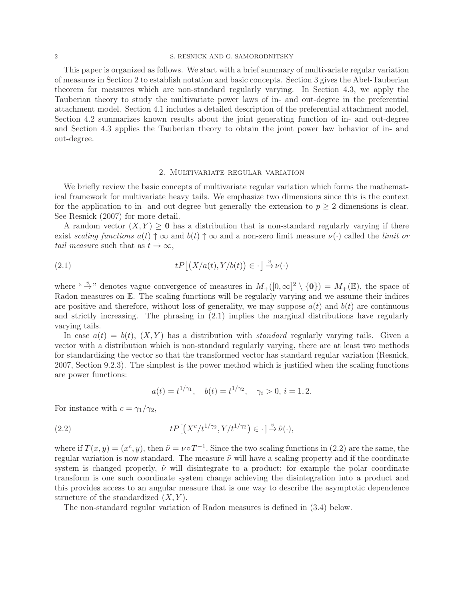#### 2 S. RESNICK AND G. SAMORODNITSKY

This paper is organized as follows. We start with a brief summary of multivariate regular variation of measures in Section 2 to establish notation and basic concepts. Section 3 gives the Abel-Tauberian theorem for measures which are non-standard regularly varying. In Section 4.3, we apply the Tauberian theory to study the multivariate power laws of in- and out-degree in the preferential attachment model. Section 4.1 includes a detailed description of the preferential attachment model, Section 4.2 summarizes known results about the joint generating function of in- and out-degree and Section 4.3 applies the Tauberian theory to obtain the joint power law behavior of in- and out-degree.

#### 2. Multivariate regular variation

We briefly review the basic concepts of multivariate regular variation which forms the mathematical framework for multivariate heavy tails. We emphasize two dimensions since this is the context for the application to in- and out-degree but generally the extension to  $p \geq 2$  dimensions is clear. See Resnick (2007) for more detail.

A random vector  $(X, Y) \geq 0$  has a distribution that is non-standard regularly varying if there exist *scaling functions*  $a(t) \uparrow \infty$  and  $b(t) \uparrow \infty$  and a non-zero limit measure  $\nu(\cdot)$  called the *limit or tail measure* such that as  $t \to \infty$ ,

(2.1) 
$$
tP\big[\big(X/a(t),Y/b(t)\big) \in \cdot\big] \stackrel{v}{\to} \nu(\cdot)
$$

where " $\rightarrow$ " denotes vague convergence of measures in  $M_{+}([0,\infty]^2 \setminus \{0\}) = M_{+}(\mathbb{E})$ , the space of Radon measures on  $E$ . The scaling functions will be regularly varying and we assume their indices are positive and therefore, without loss of generality, we may suppose  $a(t)$  and  $b(t)$  are continuous and strictly increasing. The phrasing in (2.1) implies the marginal distributions have regularly varying tails.

In case  $a(t) = b(t)$ ,  $(X, Y)$  has a distribution with *standard* regularly varying tails. Given a vector with a distribution which is non-standard regularly varying, there are at least two methods for standardizing the vector so that the transformed vector has standard regular variation (Resnick, 2007, Section 9.2.3). The simplest is the power method which is justified when the scaling functions are power functions:

$$
a(t) = t^{1/\gamma_1}
$$
,  $b(t) = t^{1/\gamma_2}$ ,  $\gamma_i > 0$ ,  $i = 1, 2$ .

For instance with  $c = \gamma_1/\gamma_2$ ,

(2.2) 
$$
tP\left[\left(X^{c}/t^{1/\gamma_{2}},Y/t^{1/\gamma_{2}}\right)\in\cdot\right]\stackrel{v}{\to}\tilde{\nu}(\cdot),
$$

where if  $T(x, y) = (x^c, y)$ , then  $\tilde{\nu} = \nu \circ T^{-1}$ . Since the two scaling functions in (2.2) are the same, the regular variation is now standard. The measure  $\tilde{\nu}$  will have a scaling property and if the coordinate system is changed properly,  $\tilde{\nu}$  will disintegrate to a product; for example the polar coordinate transform is one such coordinate system change achieving the disintegration into a product and this provides access to an angular measure that is one way to describe the asymptotic dependence structure of the standardized  $(X, Y)$ .

The non-standard regular variation of Radon measures is defined in (3.4) below.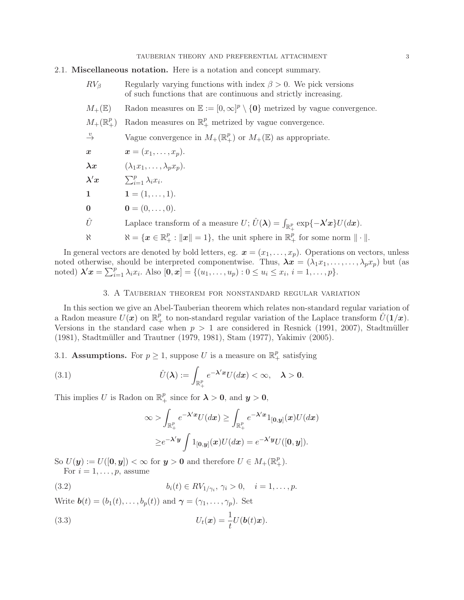#### TAUBERIAN THEORY AND PREFERENTIAL ATTACHMENT 3

### 2.1. Miscellaneous notation. Here is a notation and concept summary.

- $RV_{\beta}$  Regularly varying functions with index  $\beta > 0$ . We pick versions of such functions that are continuous and strictly increasing.
- $M_+(\mathbb{E})$  Radon measures on  $\mathbb{E} := [0,\infty]^p \setminus \{0\}$  metrized by vague convergence.

$$
M_+({\mathbb R}^p_+)
$$
 Radon measures on  ${\mathbb R}^p_+$  metrized by vague convergence.

$$
\stackrel{v}{\rightarrow}
$$
 Vague convergence in  $M_+(\mathbb{R}^p_+)$  or  $M_+(\mathbb{E})$  as appropriate.

$$
\boldsymbol{x} \qquad \qquad \boldsymbol{x} = (x_1, \ldots, x_p).
$$

 $\lambda x \qquad (\lambda_1 x_1, \ldots, \lambda_n x_n).$ 

$$
\boldsymbol{\lambda}'\boldsymbol{x} \hspace{1cm} \textstyle \sum_{i=1}^p \lambda_i x_i.
$$

- 1  $1 = (1, \ldots, 1).$
- 0  $0 = (0, \ldots, 0).$
- $\hat{U}$  Laplace transform of a measure  $U$ ;  $\hat{U}(\lambda) = \int_{\mathbb{R}^p_+} \exp\{-\lambda' x\} U(dx)$ .
- $\aleph = \{ \boldsymbol{x} \in \mathbb{R}_+^p : ||\boldsymbol{x}|| = 1 \},\$  the unit sphere in  $\mathbb{R}_+^p$  for some norm  $|| \cdot ||$ .

In general vectors are denoted by bold letters, eg.  $\boldsymbol{x} = (x_1, \ldots, x_p)$ . Operations on vectors, unless noted otherwise, should be interpreted componentwise. Thus,  $\lambda x = (\lambda_1 x_1, \dots, \lambda_p x_p)$  but (as noted)  $\lambda' x = \sum_{i=1}^{p} \lambda_i x_i$ . Also  $[0, x] = \{(u_1, \ldots, u_p) : 0 \le u_i \le x_i, i = 1, \ldots, p\}.$ 

#### 3. A Tauberian theorem for nonstandard regular variation

In this section we give an Abel-Tauberian theorem which relates non-standard regular variation of a Radon measure  $U(x)$  on  $\mathbb{R}^p_+$  to non-standard regular variation of the Laplace transform  $\hat{U}(1/x)$ . Versions in the standard case when  $p > 1$  are considered in Resnick (1991, 2007), Stadtmüller (1981), Stadtmüller and Trautner (1979, 1981), Stam (1977), Yakimiv (2005).

# 3.1. **Assumptions.** For  $p \geq 1$ , suppose U is a measure on  $\mathbb{R}^p_+$  satisfying

(3.1) 
$$
\hat{U}(\lambda) := \int_{\mathbb{R}^p_+} e^{-\lambda' x} U(dx) < \infty, \quad \lambda > 0.
$$

This implies U is Radon on  $\mathbb{R}^p_+$  since for  $\lambda > 0$ , and  $y > 0$ ,

$$
\infty > \int_{\mathbb{R}_+^p} e^{-\lambda' x} U(dx) \ge \int_{\mathbb{R}_+^p} e^{-\lambda' x} 1_{[0,y]}(x) U(dx)
$$
  
 
$$
\ge e^{-\lambda' y} \int 1_{[0,y]}(x) U(dx) = e^{-\lambda' y} U([0,y]).
$$

So  $U(\mathbf{y}) := U([0, \mathbf{y}]) < \infty$  for  $\mathbf{y} > \mathbf{0}$  and therefore  $U \in M_+(\mathbb{R}^p_+).$ For  $i = 1, \ldots, p$ , assume

(3.2) 
$$
b_i(t) \in RV_{1/\gamma_i}, \, \gamma_i > 0, \quad i = 1, \dots, p.
$$

Write  $\mathbf{b}(t) = (b_1(t), \ldots, b_n(t))$  and  $\boldsymbol{\gamma} = (\gamma_1, \ldots, \gamma_n)$ . Set

(3.3) 
$$
U_t(\boldsymbol{x}) = \frac{1}{t}U(\boldsymbol{b}(t)\boldsymbol{x}).
$$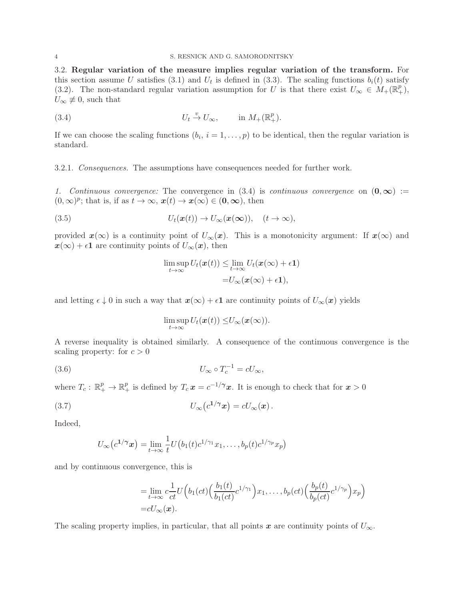3.2. Regular variation of the measure implies regular variation of the transform. For this section assume U satisfies (3.1) and  $U_t$  is defined in (3.3). The scaling functions  $b_i(t)$  satisfy (3.2). The non-standard regular variation assumption for U is that there exist  $U_{\infty} \in M_+(\mathbb{R}^p_+),$  $U_{\infty} \neq 0$ , such that

(3.4) 
$$
U_t \stackrel{v}{\rightarrow} U_{\infty}, \qquad \text{in } M_+(\mathbb{R}^p_+).
$$

If we can choose the scaling functions  $(b_i, i = 1, \ldots, p)$  to be identical, then the regular variation is standard.

3.2.1. *Consequences.* The assumptions have consequences needed for further work.

1. Continuous convergence: The convergence in  $(3.4)$  is *continuous convergence* on  $(0, \infty)$  :=  $(0, \infty)^p$ ; that is, if as  $t \to \infty$ ,  $x(t) \to x(\infty) \in (0, \infty)$ , then

(3.5) 
$$
U_t(\boldsymbol{x}(t)) \to U_\infty(\boldsymbol{x}(\infty)), \quad (t \to \infty),
$$

provided  $x(\infty)$  is a continuity point of  $U_{\infty}(x)$ . This is a monotonicity argument: If  $x(\infty)$  and  $x(\infty) + \epsilon \mathbf{1}$  are continuity points of  $U_{\infty}(x)$ , then

$$
\limsup_{t \to \infty} U_t(\boldsymbol{x}(t)) \leq \lim_{t \to \infty} U_t(\boldsymbol{x}(\infty) + \epsilon \mathbf{1})
$$

$$
= U_{\infty}(\boldsymbol{x}(\infty) + \epsilon \mathbf{1}),
$$

and letting  $\epsilon \downarrow 0$  in such a way that  $x(\infty) + \epsilon \mathbf{1}$  are continuity points of  $U_{\infty}(x)$  yields

$$
\limsup_{t\to\infty} U_t(\boldsymbol{x}(t)) \leq U_\infty(\boldsymbol{x}(\infty)).
$$

A reverse inequality is obtained similarly. A consequence of the continuous convergence is the scaling property: for  $c > 0$ 

(3.6) 
$$
U_{\infty} \circ T_c^{-1} = cU_{\infty},
$$

where  $T_c: \mathbb{R}_+^p \to \mathbb{R}_+^p$  is defined by  $T_c \mathbf{x} = c^{-1/\gamma} \mathbf{x}$ . It is enough to check that for  $\mathbf{x} > 0$ 

(3.7) 
$$
U_{\infty}(c^{1/\gamma}x) = cU_{\infty}(x).
$$

Indeed,

$$
U_{\infty}(c^{1/\gamma}x) = \lim_{t \to \infty} \frac{1}{t} U\big(b_1(t)c^{1/\gamma_1}x_1, \ldots, b_p(t)c^{1/\gamma_p}x_p\big)
$$

and by continuous convergence, this is

$$
= \lim_{t \to \infty} c \frac{1}{ct} U\Big(b_1(ct) \Big(\frac{b_1(t)}{b_1(ct)} c^{1/\gamma_1}\Big) x_1, \dots, b_p(ct) \Big(\frac{b_p(t)}{b_p(ct)} c^{1/\gamma_p}\Big) x_p\Big)
$$
  
=  $cU_{\infty}(\boldsymbol{x}).$ 

The scaling property implies, in particular, that all points x are continuity points of  $U_{\infty}$ .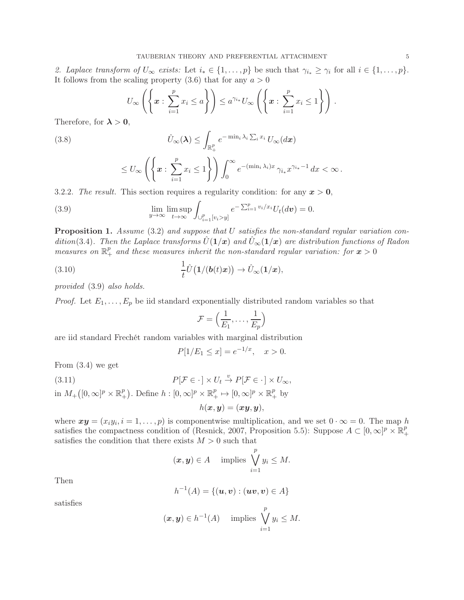2. Laplace transform of  $U_{\infty}$  exists: Let  $i_* \in \{1, \ldots, p\}$  be such that  $\gamma_{i_*} \geq \gamma_i$  for all  $i \in \{1, \ldots, p\}$ . It follows from the scaling property  $(3.6)$  that for any  $a > 0$ 

$$
U_{\infty}\left(\left\{\boldsymbol{x}:\sum_{i=1}^p x_i \leq a\right\}\right) \leq a^{\gamma_{i*}} U_{\infty}\left(\left\{\boldsymbol{x}:\sum_{i=1}^p x_i \leq 1\right\}\right).
$$

Therefore, for  $\lambda > 0$ ,

(3.8) 
$$
\hat{U}_{\infty}(\boldsymbol{\lambda}) \leq \int_{\mathbb{R}_{+}^{p}} e^{-\min_{i} \lambda_{i} \sum_{i} x_{i}} U_{\infty}(d\boldsymbol{x})
$$

$$
\leq U_{\infty}\left(\left\{x:\,\sum_{i=1}^p x_i\leq 1\right\}\right)\int_0^{\infty} e^{-(\min_i\lambda_i)x}\,\gamma_{i*}x^{\gamma_{i*}-1}\,dx<\infty\,.
$$

3.2.2. *The result.* This section requires a regularity condition: for any  $x > 0$ ,

(3.9) 
$$
\lim_{y \to \infty} \lim_{t \to \infty} \int_{\bigcup_{i=1}^p [v_i > y]} e^{-\sum_{i=1}^p v_i/x_i} U_t(d\boldsymbol{v}) = 0.
$$

Proposition 1. *Assume* (3.2) *and suppose that* U *satisfies the non-standard regular variation condition*(3.4). Then the Laplace transforms  $\hat{U}(1/\bm{x})$  and  $\hat{U}_{\infty}(1/\bm{x})$  are distribution functions of Radon measures on  $\mathbb{R}^p_+$  and these measures inherit the non-standard regular variation: for  $x > 0$ 

(3.10) 
$$
\frac{1}{t}\hat{U}\big(\mathbf{1}/(\boldsymbol{b}(t)\boldsymbol{x})\big) \to \hat{U}_{\infty}(\mathbf{1}/\boldsymbol{x}),
$$

*provided* (3.9) *also holds.*

*Proof.* Let  $E_1, \ldots, E_p$  be iid standard exponentially distributed random variables so that

$$
\mathcal{F} = \left(\frac{1}{E_1}, \dots, \frac{1}{E_p}\right)
$$

are iid standard Frechét random variables with marginal distribution

$$
P[1/E_1 \le x] = e^{-1/x}, \quad x > 0.
$$

From (3.4) we get

(3.11) 
$$
P[\mathcal{F} \in \cdot] \times U_t \stackrel{v}{\to} P[\mathcal{F} \in \cdot] \times U_{\infty},
$$

in  $M_+([0,\infty]^p\times\mathbb{R}^p_+$ <sup>p</sup><sub>+</sub>). Define  $h: [0, \infty]^p \times \mathbb{R}^p_+ \mapsto [0, \infty]^p \times \mathbb{R}^p_+$  by

$$
h(\boldsymbol{x},\boldsymbol{y})=(\boldsymbol{x}\boldsymbol{y},\boldsymbol{y}),
$$

where  $xy = (x_i y_i, i = 1, \ldots, p)$  is componentwise multiplication, and we set  $0 \cdot \infty = 0$ . The map h satisfies the compactness condition of (Resnick, 2007, Proposition 5.5): Suppose  $A \subset [0,\infty]^p \times \mathbb{R}^p_+$ + satisfies the condition that there exists  $M > 0$  such that

$$
(x, y) \in A
$$
 implies  $\bigvee_{i=1}^{p} y_i \leq M$ .

Then

$$
h^{-1}(A) = \{(\mathbf{u}, \mathbf{v}) : (\mathbf{u}\mathbf{v}, \mathbf{v}) \in A\}
$$

satisfies

$$
(x, y) \in h^{-1}(A)
$$
 implies  $\bigvee_{i=1}^{p} y_i \leq M$ .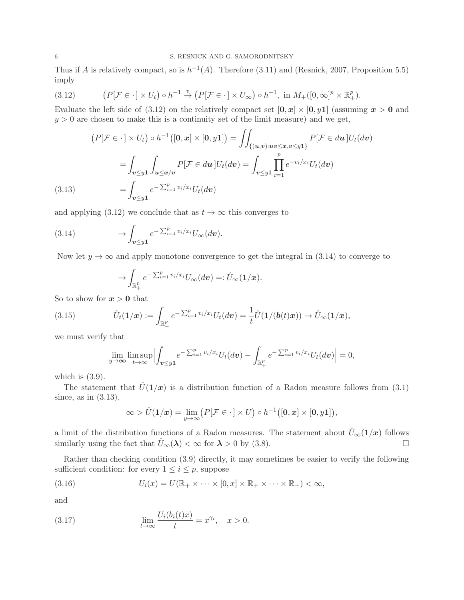Thus if A is relatively compact, so is  $h^{-1}(A)$ . Therefore (3.11) and (Resnick, 2007, Proposition 5.5) imply

(3.12) 
$$
(P[\mathcal{F} \in \cdot] \times U_t) \circ h^{-1} \stackrel{v}{\to} (P[\mathcal{F} \in \cdot] \times U_\infty) \circ h^{-1}, \text{ in } M_+([0, \infty]^p \times \mathbb{R}^p_+).
$$

Evaluate the left side of (3.12) on the relatively compact set  $[0, x] \times [0, y]$  (assuming  $x > 0$  and  $y > 0$  are chosen to make this is a continuity set of the limit measure) and we get,

$$
(P[\mathcal{F} \in \cdot] \times U_t) \circ h^{-1}([0, x] \times [0, y1]) = \iint_{\{(u,v): uv \le x, v \le y1\}} P[\mathcal{F} \in du] U_t(dv)
$$

$$
= \int_{v \le y1} \int_{u \le x/v} P[\mathcal{F} \in du] U_t(dv) = \int_{v \le y1} \prod_{i=1}^p e^{-v_i/x_i} U_t(dv)
$$
(3.13) 
$$
= \int_{v \le y1} e^{-\sum_{i=1}^p v_i/x_i} U_t(dv)
$$

and applying (3.12) we conclude that as  $t \to \infty$  this converges to

(3.14) 
$$
\longrightarrow \int_{\mathbf{v} \leq y\mathbf{1}} e^{-\sum_{i=1}^p v_i/x_i} U_{\infty}(d\mathbf{v}).
$$

Now let  $y \to \infty$  and apply monotone convergence to get the integral in (3.14) to converge to

$$
\rightarrow \int_{\mathbb{R}_+^p} e^{-\sum_{i=1}^p v_i/x_i} U_{\infty}(dv) =: \hat{U}_{\infty}(1/x).
$$

So to show for  $x > 0$  that

(3.15) 
$$
\hat{U}_t(\mathbf{1}/\mathbf{x}) := \int_{\mathbb{R}_+^p} e^{-\sum_{i=1}^p v_i/x_i} U_t(d\mathbf{v}) = \frac{1}{t} \hat{U}(\mathbf{1}/(\mathbf{b}(t)\mathbf{x})) \to \hat{U}_{\infty}(\mathbf{1}/\mathbf{x}),
$$

we must verify that

$$
\lim_{y\to\infty}\limsup_{t\to\infty}\Bigl|\int_{\boldsymbol{v}\leq y\mathbf{1}}e^{-\sum_{i=1}^pv_i/x_i}U_t(d\boldsymbol{v})-\int_{\mathbb{R}^p_+}e^{-\sum_{i=1}^pv_i/x_i}U_t(d\boldsymbol{v})\Bigr|=0,
$$

which is  $(3.9)$ .

The statement that  $\hat{U}(1/x)$  is a distribution function of a Radon measure follows from (3.1) since, as in (3.13),

$$
\infty > \hat{U}(1/x) = \lim_{y \to \infty} (P[\mathcal{F} \in \cdot \,] \times U) \circ h^{-1}([0, x] \times [0, y1]),
$$

a limit of the distribution functions of a Radon measures. The statement about  $\hat{U}_{\infty}(1/x)$  follows similarly using the fact that  $\hat{U}_{\infty}(\lambda) < \infty$  for  $\lambda > 0$  by (3.8).

Rather than checking condition (3.9) directly, it may sometimes be easier to verify the following sufficient condition: for every  $1 \leq i \leq p$ , suppose

(3.16) 
$$
U_i(x) = U(\mathbb{R}_+ \times \cdots \times [0, x] \times \mathbb{R}_+ \times \cdots \times \mathbb{R}_+) < \infty,
$$

and

(3.17) 
$$
\lim_{t \to \infty} \frac{U_i(b_i(t)x)}{t} = x^{\gamma_i}, \quad x > 0.
$$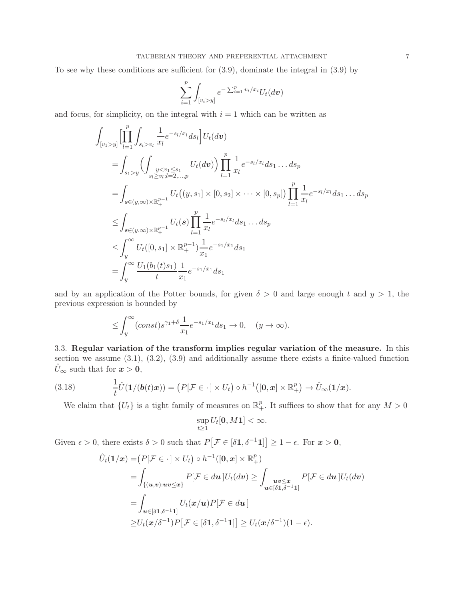To see why these conditions are sufficient for (3.9), dominate the integral in (3.9) by

$$
\sum_{i=1}^p \int_{[v_i > y]} e^{-\sum_{i=1}^p v_i/x_i} U_t(d\boldsymbol{v})
$$

and focus, for simplicity, on the integral with  $i = 1$  which can be written as

$$
\int_{[v_1>y]} \left[ \prod_{l=1}^p \int_{s_l > v_l} \frac{1}{x_l} e^{-s_l/x_l} ds_l \right] U_t(d\mathbf{v})
$$
\n
$$
= \int_{s_1>y} \left( \int_{\substack{y < v_1 \le s_1 \\ s_l \ge v_l; l = 2, \dots, p}} U_t(d\mathbf{v}) \right) \prod_{l=1}^p \frac{1}{x_l} e^{-s_l/x_l} ds_1 \dots ds_p
$$
\n
$$
= \int_{s \in (y,\infty) \times \mathbb{R}_+^{p-1}} U_t((y,s_1] \times [0,s_2] \times \dots \times [0,s_p]) \prod_{l=1}^p \frac{1}{x_l} e^{-s_l/x_l} ds_1 \dots ds_p
$$
\n
$$
\leq \int_{s \in (y,\infty) \times \mathbb{R}_+^{p-1}} U_t(s) \prod_{l=1}^p \frac{1}{x_l} e^{-s_l/x_l} ds_1 \dots ds_p
$$
\n
$$
\leq \int_y^\infty U_t([0,s_1] \times \mathbb{R}_+^{p-1}) \frac{1}{x_1} e^{-s_1/x_l} ds_1
$$
\n
$$
= \int_y^\infty \frac{U_1(b_1(t)s_1)}{t} \frac{1}{x_1} e^{-s_1/x_1} ds_1
$$

and by an application of the Potter bounds, for given  $\delta > 0$  and large enough t and  $y > 1$ , the previous expression is bounded by

$$
\leq \int_{y}^{\infty} (const) s^{\gamma_1+\delta} \frac{1}{x_1} e^{-s_1/x_1} ds_1 \to 0, \quad (y \to \infty).
$$

3.3. Regular variation of the transform implies regular variation of the measure. In this section we assume (3.1), (3.2), (3.9) and additionally assume there exists a finite-valued function  $\hat{U}_{\infty}$  such that for  $x > 0$ ,

(3.18) 
$$
\frac{1}{t}\hat{U}(1/(\boldsymbol{b}(t)\boldsymbol{x})) = (P[\mathcal{F} \in \cdot] \times U_t) \circ h^{-1}([0,\boldsymbol{x}] \times \mathbb{R}^p_+) \to \hat{U}_{\infty}(1/\boldsymbol{x}).
$$

We claim that  $\{U_t\}$  is a tight family of measures on  $\mathbb{R}^p_+$ . It suffices to show that for any  $M > 0$ 

$$
\sup_{t\geq 1} U_t[\mathbf{0},M\mathbf{1}]<\infty.
$$

Given  $\epsilon > 0$ , there exists  $\delta > 0$  such that  $P[\mathcal{F} \in [\delta \mathbf{1}, \delta^{-1} \mathbf{1}] \geq 1 - \epsilon$ . For  $\mathbf{x} > 0$ ,

$$
\hat{U}_t(\mathbf{1}/\mathbf{x}) = (P[\mathcal{F} \in \cdot] \times U_t) \circ h^{-1}([0, \mathbf{x}] \times \mathbb{R}^p_+)
$$
\n
$$
= \int_{\{(u,v): uv \leq x\}} P[\mathcal{F} \in du] U_t(dv) \geq \int_{u \in [\delta \mathbf{1}, \delta^{-1} \mathbf{1}]} P[\mathcal{F} \in du] U_t(dv)
$$
\n
$$
= \int_{u \in [\delta \mathbf{1}, \delta^{-1} \mathbf{1}]} U_t(\mathbf{x}/u) P[\mathcal{F} \in du]
$$
\n
$$
\geq U_t(\mathbf{x}/\delta^{-1}) P[\mathcal{F} \in [\delta \mathbf{1}, \delta^{-1} \mathbf{1}]] \geq U_t(\mathbf{x}/\delta^{-1})(1 - \epsilon).
$$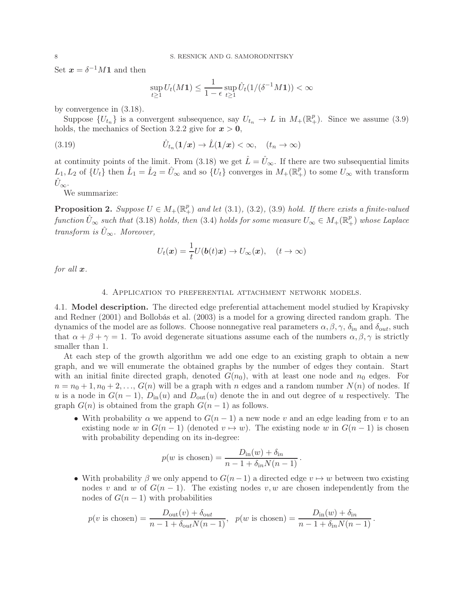Set  $\mathbf{x} = \delta^{-1}M\mathbf{1}$  and then

$$
\sup_{t\geq 1} U_t(M\mathbf{1}) \leq \frac{1}{1-\epsilon} \sup_{t\geq 1} \hat{U}_t(1/(\delta^{-1}M\mathbf{1})) < \infty
$$

by convergence in (3.18).

Suppose  $\{U_{t_n}\}\$ is a convergent subsequence, say  $U_{t_n} \to L$  in  $M_+(\mathbb{R}^p_+)$ . Since we assume (3.9) holds, the mechanics of Section 3.2.2 give for  $x > 0$ ,

(3.19) 
$$
\hat{U}_{t_n}(1/x) \to \hat{L}(1/x) < \infty, \quad (t_n \to \infty)
$$

at continuity points of the limit. From (3.18) we get  $\hat{L} = \hat{U}_{\infty}$ . If there are two subsequential limits  $L_1, L_2$  of  $\{U_t\}$  then  $\hat{L}_1 = \hat{L}_2 = \hat{U}_{\infty}$  and so  $\{U_t\}$  converges in  $M_+(\mathbb{R}^p_+)$  to some  $U_{\infty}$  with transform  $U_{\infty}$ .

We summarize:

**Proposition 2.** Suppose  $U \in M_+(\mathbb{R}^p_+)$  and let (3.1), (3.2), (3.9) hold. If there exists a finite-valued  $function \hat{U}_{\infty}$  such that (3.18) *holds, then* (3.4) *holds for some measure*  $U_{\infty} \in M_+(\mathbb{R}^p_+)$  *whose Laplace transform is*  $\hat{U}_{\infty}$ *. Moreover,* 

$$
U_t(\boldsymbol{x}) = \frac{1}{t} U(\boldsymbol{b}(t)\boldsymbol{x}) \to U_\infty(\boldsymbol{x}), \quad (t \to \infty)
$$

*for all* x*.*

#### 4. Application to preferential attachment network models.

4.1. Model description. The directed edge preferential attachement model studied by Krapivsky and Redner (2001) and Bollobás et al. (2003) is a model for a growing directed random graph. The dynamics of the model are as follows. Choose nonnegative real parameters  $\alpha, \beta, \gamma, \delta_{in}$  and  $\delta_{out}$ , such that  $\alpha + \beta + \gamma = 1$ . To avoid degenerate situations assume each of the numbers  $\alpha, \beta, \gamma$  is strictly smaller than 1.

At each step of the growth algorithm we add one edge to an existing graph to obtain a new graph, and we will enumerate the obtained graphs by the number of edges they contain. Start with an initial finite directed graph, denoted  $G(n_0)$ , with at least one node and  $n_0$  edges. For  $n = n_0 + 1, n_0 + 2, \ldots, G(n)$  will be a graph with n edges and a random number  $N(n)$  of nodes. If u is a node in  $G(n-1)$ ,  $D_{\text{in}}(u)$  and  $D_{\text{out}}(u)$  denote the in and out degree of u respectively. The graph  $G(n)$  is obtained from the graph  $G(n-1)$  as follows.

• With probability  $\alpha$  we append to  $G(n-1)$  a new node v and an edge leading from v to an existing node w in  $G(n-1)$  (denoted  $v \mapsto w$ ). The existing node w in  $G(n-1)$  is chosen with probability depending on its in-degree:

$$
p(w \text{ is chosen}) = \frac{D_{\text{in}}(w) + \delta_{\text{in}}}{n - 1 + \delta_{\text{in}} N(n - 1)}.
$$

• With probability  $\beta$  we only append to  $G(n-1)$  a directed edge  $v \mapsto w$  between two existing nodes v and w of  $G(n-1)$ . The existing nodes v, w are chosen independently from the nodes of  $G(n-1)$  with probabilities

$$
p(v \text{ is chosen}) = \frac{D_{\text{out}}(v) + \delta_{\text{out}}}{n - 1 + \delta_{\text{out}} N(n - 1)}, \ \ p(w \text{ is chosen}) = \frac{D_{\text{in}}(w) + \delta_{\text{in}}}{n - 1 + \delta_{\text{in}} N(n - 1)}.
$$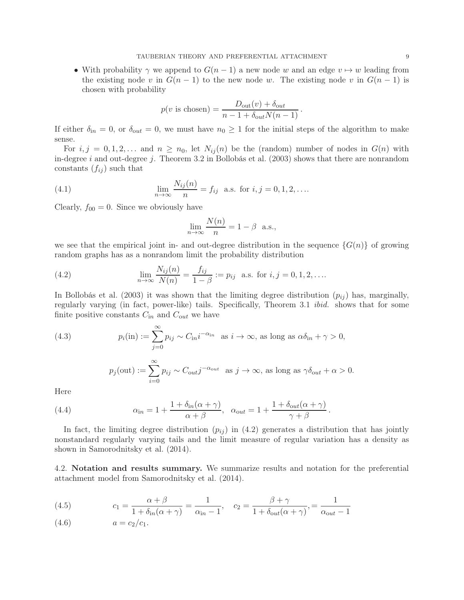• With probability  $\gamma$  we append to  $G(n-1)$  a new node w and an edge  $v \mapsto w$  leading from the existing node v in  $G(n-1)$  to the new node w. The existing node v in  $G(n-1)$  is chosen with probability

$$
p(v \text{ is chosen}) = \frac{D_{\text{out}}(v) + \delta_{\text{out}}}{n - 1 + \delta_{\text{out}} N(n - 1)}.
$$

If either  $\delta_{in} = 0$ , or  $\delta_{out} = 0$ , we must have  $n_0 \geq 1$  for the initial steps of the algorithm to make sense.

For  $i, j = 0, 1, 2, \ldots$  and  $n \geq n_0$ , let  $N_{ij}(n)$  be the (random) number of nodes in  $G(n)$  with in-degree i and out-degree j. Theorem 3.2 in Bollobás et al.  $(2003)$  shows that there are nonrandom constants  $(f_{ij})$  such that

(4.1) 
$$
\lim_{n \to \infty} \frac{N_{ij}(n)}{n} = f_{ij} \text{ a.s. for } i, j = 0, 1, 2, ...
$$

Clearly,  $f_{00} = 0$ . Since we obviously have

$$
\lim_{n \to \infty} \frac{N(n)}{n} = 1 - \beta \text{ a.s.},
$$

we see that the empirical joint in- and out-degree distribution in the sequence  $\{G(n)\}\$  of growing random graphs has as a nonrandom limit the probability distribution

(4.2) 
$$
\lim_{n \to \infty} \frac{N_{ij}(n)}{N(n)} = \frac{f_{ij}}{1 - \beta} := p_{ij} \text{ a.s. for } i, j = 0, 1, 2, ....
$$

In Bollobás et al. (2003) it was shown that the limiting degree distribution  $(p_{ij})$  has, marginally, regularly varying (in fact, power-like) tails. Specifically, Theorem 3.1 *ibid.* shows that for some finite positive constants  $C_{in}$  and  $C_{out}$  we have

(4.3) 
$$
p_i(\text{in}) := \sum_{j=0}^{\infty} p_{ij} \sim C_{\text{in}} i^{-\alpha_{\text{in}}} \text{ as } i \to \infty, \text{ as long as } \alpha \delta_{\text{in}} + \gamma > 0,
$$

$$
p_j(\text{out}) := \sum_{j=0}^{\infty} p_{ij} \sim C_{\text{out}} j^{-\alpha_{\text{out}}} \text{ as } j \to \infty, \text{ as long as } \gamma \delta_{\text{out}} + \alpha > 0.
$$

Here

(4.4) 
$$
\alpha_{\text{in}} = 1 + \frac{1 + \delta_{\text{in}}(\alpha + \gamma)}{\alpha + \beta}, \quad \alpha_{\text{out}} = 1 + \frac{1 + \delta_{\text{out}}(\alpha + \gamma)}{\gamma + \beta}
$$

 $i=0$ 

In fact, the limiting degree distribution  $(p_{ij})$  in (4.2) generates a distribution that has jointly nonstandard regularly varying tails and the limit measure of regular variation has a density as shown in Samorodnitsky et al. (2014).

.

4.2. Notation and results summary. We summarize results and notation for the preferential attachment model from Samorodnitsky et al. (2014).

(4.5) 
$$
c_1 = \frac{\alpha + \beta}{1 + \delta_{in}(\alpha + \gamma)} = \frac{1}{\alpha_{in} - 1}, \quad c_2 = \frac{\beta + \gamma}{1 + \delta_{out}(\alpha + \gamma)}, = \frac{1}{\alpha_{out} - 1}
$$

(4.6) 
$$
a = c_2/c_1
$$
.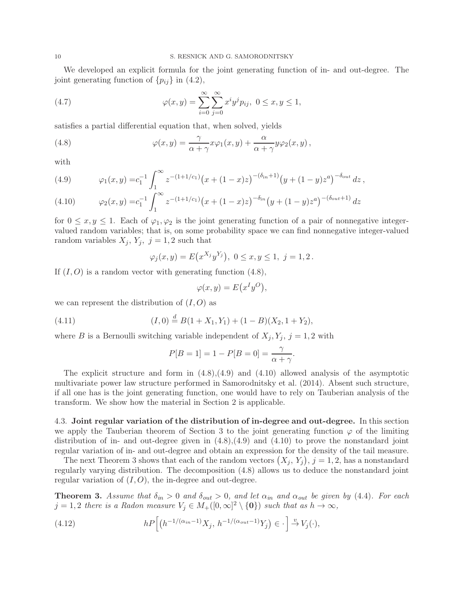We developed an explicit formula for the joint generating function of in- and out-degree. The joint generating function of  $\{p_{ij}\}\$ in  $(4.2)$ ,

(4.7) 
$$
\varphi(x,y) = \sum_{i=0}^{\infty} \sum_{j=0}^{\infty} x^i y^j p_{ij}, \ 0 \le x, y \le 1,
$$

satisfies a partial differential equation that, when solved, yields

(4.8) 
$$
\varphi(x,y) = \frac{\gamma}{\alpha + \gamma} x \varphi_1(x,y) + \frac{\alpha}{\alpha + \gamma} y \varphi_2(x,y),
$$

with

(4.9) 
$$
\varphi_1(x,y) = c_1^{-1} \int_1^{\infty} z^{-(1+1/c_1)} (x + (1-x)z)^{-(\delta_{in}+1)} (y + (1-y)z^a)^{-\delta_{out}} dz,
$$

(4.10) 
$$
\varphi_2(x,y) = c_1^{-1} \int_1^{\infty} z^{-(1+1/c_1)} (x + (1-x)z)^{-\delta_{in}} (y + (1-y)z^a)^{-(\delta_{out}+1)} dz
$$

for  $0 \leq x, y \leq 1$ . Each of  $\varphi_1, \varphi_2$  is the joint generating function of a pair of nonnegative integervalued random variables; that is, on some probability space we can find nonnegative integer-valued random variables  $X_j$ ,  $Y_j$ ,  $j = 1, 2$  such that

$$
\varphi_j(x, y) = E(x^{X_j}y^{Y_j}), \ 0 \le x, y \le 1, \ j = 1, 2.
$$

If  $(I, O)$  is a random vector with generating function  $(4.8)$ ,

$$
\varphi(x, y) = E(x^I y^O),
$$

we can represent the distribution of  $(I, O)$  as

(4.11) 
$$
(I,0) \stackrel{d}{=} B(1+X_1,Y_1) + (1-B)(X_2,1+Y_2),
$$

where B is a Bernoulli switching variable independent of  $X_j, Y_j, j = 1, 2$  with

$$
P[B = 1] = 1 - P[B = 0] = \frac{\gamma}{\alpha + \gamma}.
$$

The explicit structure and form in  $(4.8)$ , $(4.9)$  and  $(4.10)$  allowed analysis of the asymptotic multivariate power law structure performed in Samorodnitsky et al. (2014). Absent such structure, if all one has is the joint generating function, one would have to rely on Tauberian analysis of the transform. We show how the material in Section 2 is applicable.

4.3. Joint regular variation of the distribution of in-degree and out-degree. In this section we apply the Tauberian theorem of Section 3 to the joint generating function  $\varphi$  of the limiting distribution of in- and out-degree given in  $(4.8), (4.9)$  and  $(4.10)$  to prove the nonstandard joint regular variation of in- and out-degree and obtain an expression for the density of the tail measure.

The next Theorem 3 shows that each of the random vectors  $(X_j, Y_j), j = 1, 2$ , has a nonstandard regularly varying distribution. The decomposition (4.8) allows us to deduce the nonstandard joint regular variation of  $(I, O)$ , the in-degree and out-degree.

**Theorem 3.** Assume that  $\delta_{in} > 0$  and  $\delta_{out} > 0$ , and let  $\alpha_{in}$  and  $\alpha_{out}$  be given by (4.4). For each  $j = 1, 2$  there is a Radon measure  $V_j \in M_+([0, \infty]^2 \setminus \{0\})$  such that as  $h \to \infty$ ,

(4.12) 
$$
hP\Big[\big(h^{-1/(\alpha_{in}-1)}X_j, h^{-1/(\alpha_{out}-1)}Y_j\big) \in \cdot\Big] \stackrel{v}{\to} V_j(\cdot),
$$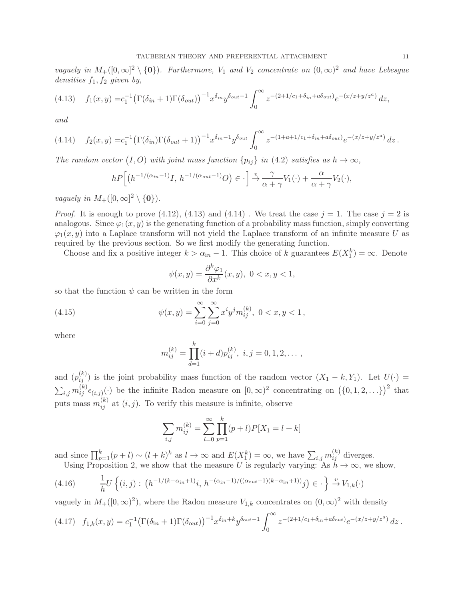*vaguely in*  $M_+([0,\infty]^2 \setminus \{0\})$ . Furthermore,  $V_1$  and  $V_2$  concentrate on  $(0,\infty)^2$  and have Lebesgue *densities*  $f_1, f_2$  *given by,* 

$$
(4.13) \t f_1(x,y) = c_1^{-1} \left( \Gamma(\delta_{in} + 1) \Gamma(\delta_{out}) \right)^{-1} x^{\delta_{in}} y^{\delta_{out}-1} \int_0^\infty z^{-(2+1/c_1+\delta_{in}+a\delta_{out})} e^{-(x/z+y/z^a)} dz,
$$

*and*

$$
(4.14) \t f_2(x,y) = c_1^{-1} \left( \Gamma(\delta_{in}) \Gamma(\delta_{out} + 1) \right)^{-1} x^{\delta_{in} - 1} y^{\delta_{out}} \int_0^\infty z^{-(1 + a + 1/c_1 + \delta_{in} + a\delta_{out})} e^{-(x/z + y/z^a)} dz.
$$

*The random vector*  $(I, O)$  *with joint mass function*  $\{p_{ij}\}\$ *in*  $(4.2)$  *satisfies as*  $h \to \infty$ *,* 

$$
hP\Big[\big(h^{-1/(\alpha_{in}-1)}I, h^{-1/(\alpha_{out}-1)}O\big) \in \cdot\Big] \xrightarrow{\upsilon} \frac{\gamma}{\alpha+\gamma}V_1(\cdot) + \frac{\alpha}{\alpha+\gamma}V_2(\cdot),
$$

*vaguely in*  $M_+([0,\infty]^2 \setminus \{0\})$ *.* 

*Proof.* It is enough to prove (4.12), (4.13) and (4.14). We treat the case  $j = 1$ . The case  $j = 2$  is analogous. Since  $\varphi_1(x, y)$  is the generating function of a probability mass function, simply converting  $\varphi_1(x, y)$  into a Laplace transform will not yield the Laplace transform of an infinite measure U as required by the previous section. So we first modify the generating function.

Choose and fix a positive integer  $k > \alpha_{in} - 1$ . This choice of k guarantees  $E(X_1^k) = \infty$ . Denote

$$
\psi(x,y) = \frac{\partial^k \varphi_1}{\partial x^k}(x,y), \ 0 < x, y < 1,
$$

so that the function  $\psi$  can be written in the form

(4.15) 
$$
\psi(x,y) = \sum_{i=0}^{\infty} \sum_{j=0}^{\infty} x^i y^j m_{ij}^{(k)}, \ 0 < x, y < 1,
$$

where

$$
m_{ij}^{(k)} = \prod_{d=1}^{k} (i+d) p_{ij}^{(k)}, \ i, j = 0, 1, 2, \dots,
$$

and  $(p_{ij}^{(k)})$  is the joint probability mass function of the random vector  $(X_1 - k, Y_1)$ . Let  $U(\cdot)$  =  $\sum_{i,j} m_{ij}^{(k)} \epsilon_{(i,j)}(\cdot)$  be the infinite Radon measure on  $[0,\infty)^2$  concentrating on  $(\{0,1,2,\ldots\})^2$  that puts mass  $m_{ij}^{(k)}$  at  $(i, j)$ . To verify this measure is infinite, observe

$$
\sum_{i,j} m_{ij}^{(k)} = \sum_{l=0}^{\infty} \prod_{p=1}^{k} (p+l) P[X_1 = l+k]
$$

and since  $\prod_{p=1}^{k} (p+l) \sim (l+k)^k$  as  $l \to \infty$  and  $E(X_1^k) = \infty$ , we have  $\sum_{i,j} m_{ij}^{(k)}$  diverges. Using Proposition 2, we show that the measure U is regularly varying: As  $h \to \infty$ , we show,

$$
(4.16) \qquad \frac{1}{h}U\left\{(i,j): \left(h^{-1/(k-\alpha_{\text{in}}+1)}i, \, h^{-(\alpha_{\text{in}}-1)/((\alpha_{\text{out}}-1)(k-\alpha_{\text{in}}+1))}j\right) \in \cdot\right\} \xrightarrow{v} V_{1,k}(\cdot)
$$

vaguely in  $M_+([0,\infty)^2)$ , where the Radon measure  $V_{1,k}$  concentrates on  $(0,\infty)^2$  with density

$$
(4.17) \quad f_{1,k}(x,y) = c_1^{-1} \left( \Gamma(\delta_{\text{in}} + 1) \Gamma(\delta_{\text{out}}) \right)^{-1} x^{\delta_{\text{in}} + k} y^{\delta_{\text{out}} - 1} \int_0^\infty z^{-(2+1/c_1 + \delta_{\text{in}} + a\delta_{\text{out}})} e^{-(x/z + y/z^a)} dz.
$$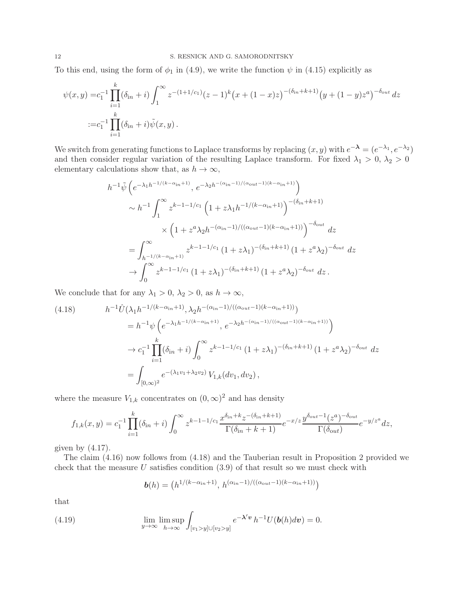To this end, using the form of  $\phi_1$  in (4.9), we write the function  $\psi$  in (4.15) explicitly as

$$
\psi(x,y) = c_1^{-1} \prod_{i=1}^k (\delta_{in} + i) \int_1^\infty z^{-(1+1/c_1)} (z-1)^k (x+(1-x)z)^{-(\delta_{in}+k+1)} (y+(1-y)z^a)^{-\delta_{out}} dz
$$
  

$$
:= c_1^{-1} \prod_{i=1}^k (\delta_{in} + i) \tilde{\psi}(x,y).
$$

We switch from generating functions to Laplace transforms by replacing  $(x, y)$  with  $e^{-\lambda} = (e^{-\lambda_1}, e^{-\lambda_2})$ and then consider regular variation of the resulting Laplace transform. For fixed  $\lambda_1 > 0, \lambda_2 > 0$ elementary calculations show that, as  $h \to \infty$ ,

$$
h^{-1}\tilde{\psi}\left(e^{-\lambda_1h^{-1/(k-\alpha_{\rm in}+1)}},e^{-\lambda_2h^{-(\alpha_{\rm in}-1)/( \alpha_{\rm out}-1)(k-\alpha_{\rm in}+1)}}\right) \sim h^{-1}\int_1^{\infty} z^{k-1-1/c_1} \left(1+z\lambda_1h^{-1/(k-\alpha_{\rm in}+1)}\right)^{-(\delta_{\rm in}+k+1)} \times \left(1+z^a\lambda_2h^{-(\alpha_{\rm in}-1)/((\alpha_{\rm out}-1)(k-\alpha_{\rm in}+1))}\right)^{-\delta_{\rm out}} dz = \int_{h^{-1/(k-\alpha_{\rm in}+1)}}^{\infty} z^{k-1-1/c_1} \left(1+z\lambda_1\right)^{-(\delta_{\rm in}+k+1)} \left(1+z^a\lambda_2\right)^{-\delta_{\rm out}} dz \to \int_0^{\infty} z^{k-1-1/c_1} \left(1+z\lambda_1\right)^{-(\delta_{\rm in}+k+1)} \left(1+z^a\lambda_2\right)^{-\delta_{\rm out}} dz.
$$

We conclude that for any  $\lambda_1 > 0$ ,  $\lambda_2 > 0$ , as  $h \to \infty$ ,

$$
(4.18) \t h^{-1}\hat{U}(\lambda_1 h^{-1/(k-\alpha_{\rm in}+1)}, \lambda_2 h^{-(\alpha_{\rm in}-1)/((\alpha_{\rm out}-1)(k-\alpha_{\rm in}+1))})
$$
  
\t\t\t
$$
= h^{-1}\psi\left(e^{-\lambda_1 h^{-1/(k-\alpha_{\rm in}+1)}}, e^{-\lambda_2 h^{-(\alpha_{\rm in}-1)/((\alpha_{\rm out}-1)(k-\alpha_{\rm in}+1))}}\right)
$$
  
\t\t\t
$$
\rightarrow c_1^{-1}\prod_{i=1}^k(\delta_{\rm in}+i)\int_0^\infty z^{k-1-1/c_1}\left(1+z\lambda_1\right)^{-(\delta_{\rm in}+k+1)}\left(1+z^a\lambda_2\right)^{-\delta_{\rm out}}dz
$$
  
\t\t\t
$$
= \int_{[0,\infty)^2} e^{-(\lambda_1 v_1 + \lambda_2 v_2)}V_{1,k}(dv_1,dv_2),
$$

where the measure  $V_{1,k}$  concentrates on  $(0, \infty)^2$  and has density

$$
f_{1,k}(x,y) = c_1^{-1} \prod_{i=1}^k (\delta_{in} + i) \int_0^\infty z^{k-1-1/c_1} \frac{x^{\delta_{in}+k} z^{-(\delta_{in}+k+1)}}{\Gamma(\delta_{in}+k+1)} e^{-x/z} \frac{y^{\delta_{out}-1} (z^a)^{-\delta_{out}}}{\Gamma(\delta_{out})} e^{-y/z^a} dz,
$$

given by  $(4.17)$ .

The claim (4.16) now follows from (4.18) and the Tauberian result in Proposition 2 provided we check that the measure  $U$  satisfies condition  $(3.9)$  of that result so we must check with

$$
\boldsymbol{b}(h) = \left(h^{1/(k-\alpha_{\text{in}}+1)},\,h^{(\alpha_{\text{in}}-1)/((\alpha_{\text{out}}-1)(k-\alpha_{\text{in}}+1))}\right)
$$

that

(4.19) 
$$
\lim_{y \to \infty} \lim_{h \to \infty} \int_{[v_1 > y] \cup [v_2 > y]} e^{-\lambda' v} h^{-1} U(b(h) dv) = 0.
$$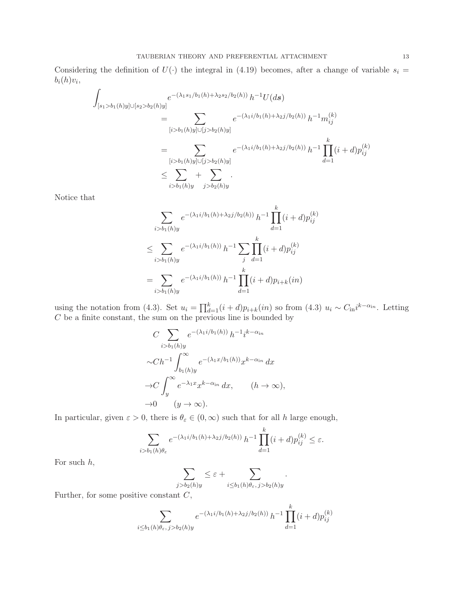Considering the definition of  $U(\cdot)$  the integral in (4.19) becomes, after a change of variable  $s_i =$  $b_i(h)v_i,$ 

$$
\int_{[s_1>b_1(h)y]\cup[s_2>b_2(h)y]} e^{-(\lambda_1 s_1/b_1(h)+\lambda_2 s_2/b_2(h))} h^{-1}U(ds)
$$
\n
$$
= \sum_{[i>b_1(h)y]\cup[j>b_2(h)y]} e^{-(\lambda_1 i/b_1(h)+\lambda_2 j/b_2(h))} h^{-1}m_{ij}^{(k)}
$$
\n
$$
= \sum_{[i>b_1(h)y]\cup[j>b_2(h)y]} e^{-(\lambda_1 i/b_1(h)+\lambda_2 j/b_2(h))} h^{-1} \prod_{d=1}^k (i+d) p_{ij}^{(k)}
$$
\n
$$
\leq \sum_{i>b_1(h)y} + \sum_{j>b_2(h)y}.
$$

Notice that

$$
\sum_{i>b_1(h)y} e^{-(\lambda_1 i/b_1(h) + \lambda_2 j/b_2(h))} h^{-1} \prod_{d=1}^k (i+d) p_{ij}^{(k)}
$$
  

$$
\leq \sum_{i>b_1(h)y} e^{-(\lambda_1 i/b_1(h))} h^{-1} \sum_{j} \prod_{d=1}^k (i+d) p_{ij}^{(k)}
$$
  

$$
= \sum_{i>b_1(h)y} e^{-(\lambda_1 i/b_1(h))} h^{-1} \prod_{d=1}^k (i+d) p_{i+k}(in)
$$

using the notation from (4.3). Set  $u_i = \prod_{d=1}^k (i+d)p_{i+k}(in)$  so from (4.3)  $u_i \sim C_{\text{in}}i^{k-\alpha_{\text{in}}}$ . Letting  $C$  be a finite constant, the sum on the previous line is bounded by

$$
C \sum_{i>b_1(h)y} e^{-(\lambda_1 i/b_1(h))} h^{-1} i^{k-\alpha_{in}}
$$
  

$$
\sim Ch^{-1} \int_{b_1(h)y}^{\infty} e^{-(\lambda_1 x/b_1(h))} x^{k-\alpha_{in}} dx
$$
  

$$
\to C \int_{y}^{\infty} e^{-\lambda_1 x} x^{k-\alpha_{in}} dx, \qquad (h \to \infty),
$$
  

$$
\to 0 \qquad (y \to \infty).
$$

In particular, given  $\varepsilon > 0$ , there is  $\theta_{\varepsilon} \in (0, \infty)$  such that for all h large enough,

$$
\sum_{i>b_1(h)\theta_{\varepsilon}} e^{-(\lambda_1 i/b_1(h)+\lambda_2 j/b_2(h))} h^{-1} \prod_{d=1}^k (i+d) p_{ij}^{(k)} \leq \varepsilon.
$$

For such  $h$ ,

$$
\sum_{j>b_2(h)y} \leq \varepsilon + \sum_{i \leq b_1(h)\theta_{\varepsilon}, j>b_2(h)y}.
$$

Further, for some positive constant  $C$ ,

$$
\sum_{i \le b_1(h)\theta_{\varepsilon}, j > b_2(h)y} e^{-(\lambda_1 i/b_1(h) + \lambda_2 j/b_2(h))} h^{-1} \prod_{d=1}^k (i+d) p_{ij}^{(k)}
$$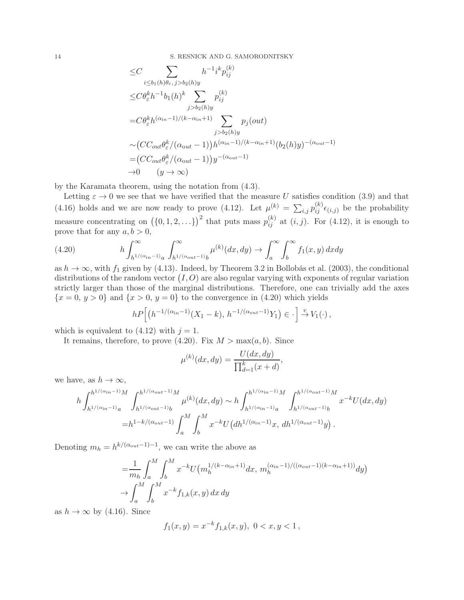14 S. RESNICK AND G. SAMORODNITSKY

$$
\leq C \sum_{i \leq b_1(h)\theta_{\varepsilon}, j > b_2(h)y} h^{-1} i^k p_{ij}^{(k)}
$$
\n
$$
\leq C \theta_{\varepsilon}^k h^{-1} b_1(h)^k \sum_{j > b_2(h)y} p_{ij}^{(k)}
$$
\n
$$
= C \theta_{\varepsilon}^k h^{(\alpha_{in}-1)/(k-\alpha_{in}+1)} \sum_{j > b_2(h)y} p_j(out)
$$
\n
$$
\sim (CC_{out} \theta_{\varepsilon}^k / (\alpha_{out}-1)) h^{(\alpha_{in}-1)/(k-\alpha_{in}+1)} (b_2(h)y)^{-(\alpha_{out}-1)}
$$
\n
$$
= (CC_{out} \theta_{\varepsilon}^k / (\alpha_{out}-1)) y^{-(\alpha_{out}-1)}
$$
\n
$$
\to 0 \qquad (y \to \infty)
$$

by the Karamata theorem, using the notation from (4.3).

Letting  $\varepsilon \to 0$  we see that we have verified that the measure U satisfies condition (3.9) and that (4.16) holds and we are now ready to prove (4.12). Let  $\mu^{(k)} = \sum_{i,j} p_{ij}^{(k)} \epsilon_{(i,j)}$  be the probability measure concentrating on  $(\{0, 1, 2, \ldots\})^2$  that puts mass  $p_{ij}^{(k)}$  at  $(i, j)$ . For  $(4.12)$ , it is enough to prove that for any  $a, b > 0$ ,

(4.20) 
$$
h \int_{h^{1/(\alpha_{in}-1)}a}^{\infty} \int_{h^{1/(\alpha_{out}-1)}b}^{\infty} \mu^{(k)}(dx,dy) \rightarrow \int_{a}^{\infty} \int_{b}^{\infty} f_1(x,y) dx dy
$$

as  $h \to \infty$ , with  $f_1$  given by (4.13). Indeed, by Theorem 3.2 in Bollobás et al. (2003), the conditional distributions of the random vector  $(I, O)$  are also regular varying with exponents of regular variation strictly larger than those of the marginal distributions. Therefore, one can trivially add the axes  ${x = 0, y > 0}$  and  ${x > 0, y = 0}$  to the convergence in (4.20) which yields

$$
hP\Big[\big(h^{-1/(\alpha_{\mathrm in}-1)}(X_1-k),\,h^{-1/(\alpha_{\mathrm out}-1)}Y_1\big)\in\cdot\Big]\overset{v}{\to}V_1(\cdot)\,,
$$

which is equivalent to  $(4.12)$  with  $j = 1$ .

It remains, therefore, to prove (4.20). Fix  $M > \max(a, b)$ . Since

$$
\mu^{(k)}(dx, dy) = \frac{U(dx, dy)}{\prod_{d=1}^{k} (x + d)},
$$

we have, as  $h \to \infty$ ,

$$
h \int_{h^{1/(\alpha_{\rm in}-1)}a}^{h^{1/(\alpha_{\rm in}-1)}M} \int_{h^{1/(\alpha_{\rm out}-1)}b}^{h^{1/(\alpha_{\rm out}-1)}M} \mu^{(k)}(dx,dy) \sim h \int_{h^{1/(\alpha_{\rm in}-1)}a}^{h^{1/(\alpha_{\rm in}-1)}M} \int_{h^{1/(\alpha_{\rm out}-1)}b}^{h^{1/(\alpha_{\rm out}-1)}M} x^{-k} U(dx,dy)
$$
  
=
$$
h^{1-k/(\alpha_{\rm out}-1)} \int_{a}^{M} \int_{b}^{M} x^{-k} U\big( dh^{1/(\alpha_{\rm in}-1)}x, \, dh^{1/(\alpha_{\rm out}-1)}y \big).
$$

Denoting  $m_h = h^{k/(\alpha_{\text{out}}-1)-1}$ , we can write the above as

$$
= \frac{1}{m_h} \int_a^M \int_b^M x^{-k} U(m_h^{1/(k-\alpha_{in}+1)} dx, m_h^{(\alpha_{in}-1)/((\alpha_{out}-1)(k-\alpha_{in}+1))} dy)
$$
  
\n
$$
\to \int_a^M \int_b^M x^{-k} f_{1,k}(x, y) dx dy
$$

as  $h \to \infty$  by (4.16). Since

$$
f_1(x,y) = x^{-k} f_{1,k}(x,y), \ 0 < x, y < 1
$$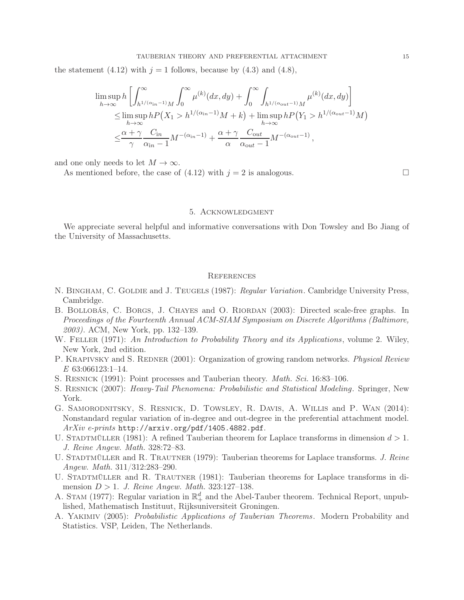the statement (4.12) with  $j = 1$  follows, because by (4.3) and (4.8),

$$
\limsup_{h \to \infty} h \left[ \int_{h^{1/(\alpha_{in} - 1)}M}^{\infty} \int_{0}^{\infty} \mu^{(k)}(dx, dy) + \int_{0}^{\infty} \int_{h^{1/(\alpha_{out} - 1)}M}^{\infty} \mu^{(k)}(dx, dy) \right]
$$
  
\n
$$
\leq \limsup_{h \to \infty} h P(X_1 > h^{1/(\alpha_{in} - 1)}M + k) + \limsup_{h \to \infty} h P(Y_1 > h^{1/(\alpha_{out} - 1)}M)
$$
  
\n
$$
\leq \frac{\alpha + \gamma}{\gamma} \frac{C_{in}}{\alpha_{in} - 1} M^{-(\alpha_{in} - 1)} + \frac{\alpha + \gamma}{\alpha} \frac{C_{out}}{\alpha_{out} - 1} M^{-(\alpha_{out} - 1)},
$$

and one only needs to let  $M \to \infty$ .

As mentioned before, the case of  $(4.12)$  with  $j = 2$  is analogous.

#### 5. Acknowledgment

We appreciate several helpful and informative conversations with Don Towsley and Bo Jiang of the University of Massachusetts.

#### **REFERENCES**

- N. Bingham, C. Goldie and J. Teugels (1987): *Regular Variation*. Cambridge University Press, Cambridge.
- B. BOLLOBÁS, C. BORGS, J. CHAYES and O. RIORDAN (2003): Directed scale-free graphs. In *Proceedings of the Fourteenth Annual ACM-SIAM Symposium on Discrete Algorithms (Baltimore, 2003)*. ACM, New York, pp. 132–139.
- W. Feller (1971): *An Introduction to Probability Theory and its Applications*, volume 2. Wiley, New York, 2nd edition.
- P. KRAPIVSKY and S. REDNER (2001): Organization of growing random networks. *Physical Review E* 63:066123:1–14.
- S. Resnick (1991): Point processes and Tauberian theory. *Math. Sci.* 16:83–106.
- S. Resnick (2007): *Heavy-Tail Phenomena: Probabilistic and Statistical Modeling*. Springer, New York.
- G. Samorodnitsky, S. Resnick, D. Towsley, R. Davis, A. Willis and P. Wan (2014): Nonstandard regular variation of in-degree and out-degree in the preferential attachment model. *ArXiv e-prints* http://arxiv.org/pdf/1405.4882.pdf.
- U. STADTMÜLLER (1981): A refined Tauberian theorem for Laplace transforms in dimension  $d > 1$ . *J. Reine Angew. Math.* 328:72–83.
- U. STADTMÜLLER and R. TRAUTNER (1979): Tauberian theorems for Laplace transforms. *J. Reine Angew. Math.* 311/312:283–290.
- U. STADTMÜLLER and R. TRAUTNER (1981): Tauberian theorems for Laplace transforms in dimension D > 1. *J. Reine Angew. Math.* 323:127–138.
- A. STAM (1977): Regular variation in  $\mathbb{R}^d_+$  and the Abel-Tauber theorem. Technical Report, unpublished, Mathematisch Instituut, Rijksuniversiteit Groningen.
- A. Yakimiv (2005): *Probabilistic Applications of Tauberian Theorems*. Modern Probability and Statistics. VSP, Leiden, The Netherlands.